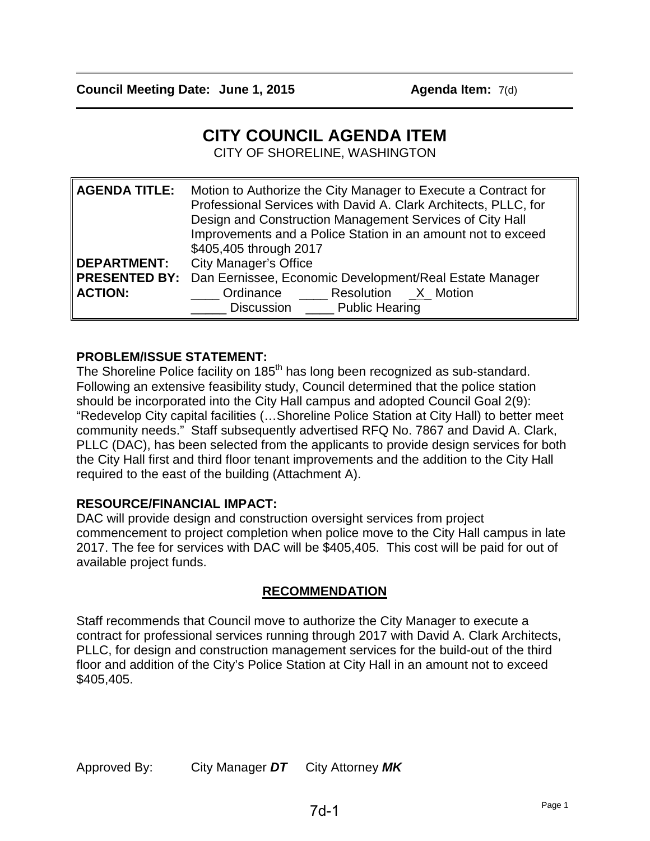$\overline{\phantom{a}}$ 

 $\overline{\phantom{a}}$ 

# **CITY COUNCIL AGENDA ITEM**

CITY OF SHORELINE, WASHINGTON

| <b>AGENDA TITLE:</b> | Motion to Authorize the City Manager to Execute a Contract for<br>Professional Services with David A. Clark Architects, PLLC, for<br>Design and Construction Management Services of City Hall<br>Improvements and a Police Station in an amount not to exceed<br>\$405,405 through 2017 |
|----------------------|-----------------------------------------------------------------------------------------------------------------------------------------------------------------------------------------------------------------------------------------------------------------------------------------|
| <b>DEPARTMENT:</b>   | <b>City Manager's Office</b>                                                                                                                                                                                                                                                            |
|                      | PRESENTED BY: Dan Eernissee, Economic Development/Real Estate Manager                                                                                                                                                                                                                   |
| <b>ACTION:</b>       | Ordinance Resolution X Motion<br>Discussion Public Hearing                                                                                                                                                                                                                              |

### **PROBLEM/ISSUE STATEMENT:**

The Shoreline Police facility on 185<sup>th</sup> has long been recognized as sub-standard. Following an extensive feasibility study, Council determined that the police station should be incorporated into the City Hall campus and adopted Council Goal 2(9): "Redevelop City capital facilities (…Shoreline Police Station at City Hall) to better meet community needs." Staff subsequently advertised RFQ No. 7867 and David A. Clark, PLLC (DAC), has been selected from the applicants to provide design services for both the City Hall first and third floor tenant improvements and the addition to the City Hall required to the east of the building (Attachment A).

### **RESOURCE/FINANCIAL IMPACT:**

DAC will provide design and construction oversight services from project commencement to project completion when police move to the City Hall campus in late 2017. The fee for services with DAC will be \$405,405. This cost will be paid for out of available project funds.

### **RECOMMENDATION**

Staff recommends that Council move to authorize the City Manager to execute a contract for professional services running through 2017 with David A. Clark Architects, PLLC, for design and construction management services for the build-out of the third floor and addition of the City's Police Station at City Hall in an amount not to exceed \$405,405.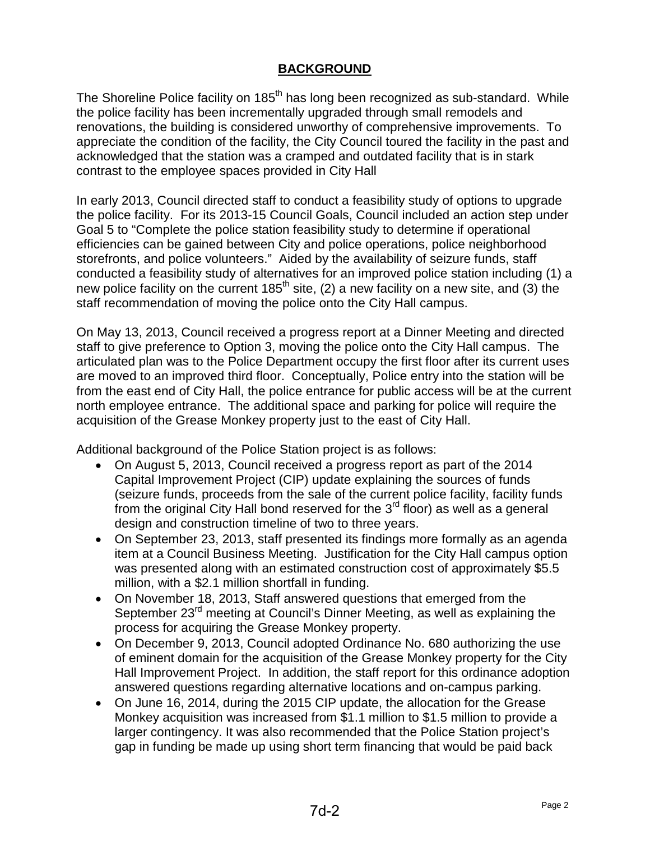### **BACKGROUND**

The Shoreline Police facility on 185<sup>th</sup> has long been recognized as sub-standard. While the police facility has been incrementally upgraded through small remodels and renovations, the building is considered unworthy of comprehensive improvements. To appreciate the condition of the facility, the City Council toured the facility in the past and acknowledged that the station was a cramped and outdated facility that is in stark contrast to the employee spaces provided in City Hall

In early 2013, Council directed staff to conduct a feasibility study of options to upgrade the police facility. For its 2013-15 Council Goals, Council included an action step under Goal 5 to "Complete the police station feasibility study to determine if operational efficiencies can be gained between City and police operations, police neighborhood storefronts, and police volunteers." Aided by the availability of seizure funds, staff conducted a feasibility study of alternatives for an improved police station including (1) a new police facility on the current  $185<sup>th</sup>$  site, (2) a new facility on a new site, and (3) the staff recommendation of moving the police onto the City Hall campus.

On May 13, 2013, Council received a progress report at a Dinner Meeting and directed staff to give preference to Option 3, moving the police onto the City Hall campus. The articulated plan was to the Police Department occupy the first floor after its current uses are moved to an improved third floor. Conceptually, Police entry into the station will be from the east end of City Hall, the police entrance for public access will be at the current north employee entrance. The additional space and parking for police will require the acquisition of the Grease Monkey property just to the east of City Hall.

Additional background of the Police Station project is as follows:

- On August 5, 2013, Council received a progress report as part of the 2014 Capital Improvement Project (CIP) update explaining the sources of funds (seizure funds, proceeds from the sale of the current police facility, facility funds from the original City Hall bond reserved for the  $3<sup>rd</sup>$  floor) as well as a general design and construction timeline of two to three years.
- On September 23, 2013, staff presented its findings more formally as an agenda item at a Council Business Meeting. Justification for the City Hall campus option was presented along with an estimated construction cost of approximately \$5.5 million, with a \$2.1 million shortfall in funding.
- On November 18, 2013, Staff answered questions that emerged from the September 23<sup>rd</sup> meeting at Council's Dinner Meeting, as well as explaining the process for acquiring the Grease Monkey property.
- On December 9, 2013, Council adopted Ordinance No. 680 authorizing the use of eminent domain for the acquisition of the Grease Monkey property for the City Hall Improvement Project. In addition, the staff report for this ordinance adoption answered questions regarding alternative locations and on-campus parking.
- On June 16, 2014, during the 2015 CIP update, the allocation for the Grease Monkey acquisition was increased from \$1.1 million to \$1.5 million to provide a larger contingency. It was also recommended that the Police Station project's gap in funding be made up using short term financing that would be paid back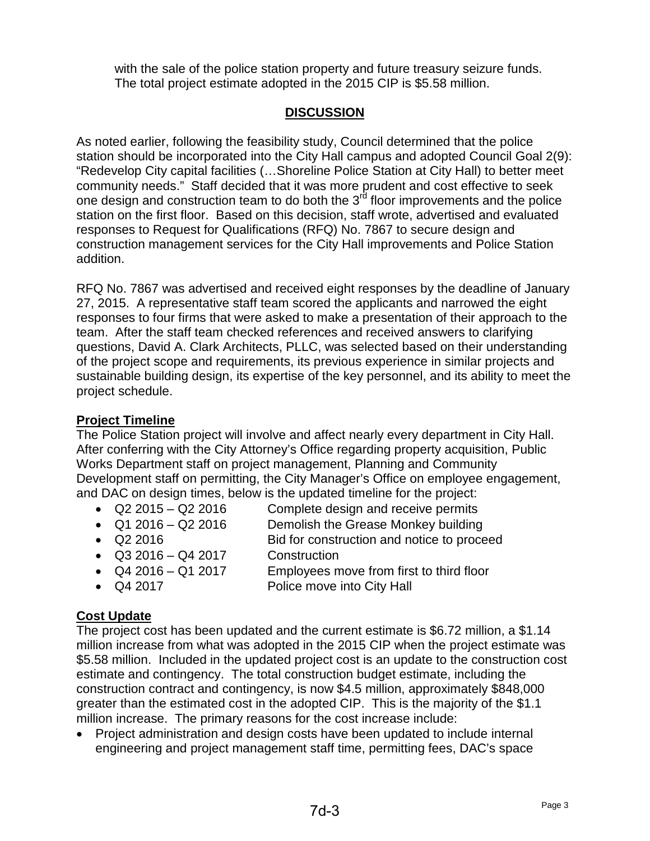with the sale of the police station property and future treasury seizure funds. The total project estimate adopted in the 2015 CIP is \$5.58 million.

## **DISCUSSION**

As noted earlier, following the feasibility study, Council determined that the police station should be incorporated into the City Hall campus and adopted Council Goal 2(9): "Redevelop City capital facilities (…Shoreline Police Station at City Hall) to better meet community needs." Staff decided that it was more prudent and cost effective to seek one design and construction team to do both the 3<sup>rd</sup> floor improvements and the police station on the first floor. Based on this decision, staff wrote, advertised and evaluated responses to Request for Qualifications (RFQ) No. 7867 to secure design and construction management services for the City Hall improvements and Police Station addition.

RFQ No. 7867 was advertised and received eight responses by the deadline of January 27, 2015. A representative staff team scored the applicants and narrowed the eight responses to four firms that were asked to make a presentation of their approach to the team. After the staff team checked references and received answers to clarifying questions, David A. Clark Architects, PLLC, was selected based on their understanding of the project scope and requirements, its previous experience in similar projects and sustainable building design, its expertise of the key personnel, and its ability to meet the project schedule.

### **Project Timeline**

The Police Station project will involve and affect nearly every department in City Hall. After conferring with the City Attorney's Office regarding property acquisition, Public Works Department staff on project management, Planning and Community Development staff on permitting, the City Manager's Office on employee engagement, and DAC on design times, below is the updated timeline for the project:

- 
- Q2 2015 Q2 2016 Complete design and receive permits
- Q1 2016 Q2 2016 Demolish the Grease Monkey building
- 
- Q2 2016 Bid for construction and notice to proceed
- Q3 2016 Q4 2017 Construction
- 
- Q4 2016 Q1 2017 Employees move from first to third floor
- 
- Q4 2017 Police move into City Hall

### **Cost Update**

The project cost has been updated and the current estimate is \$6.72 million, a \$1.14 million increase from what was adopted in the 2015 CIP when the project estimate was \$5.58 million. Included in the updated project cost is an update to the construction cost estimate and contingency. The total construction budget estimate, including the construction contract and contingency, is now \$4.5 million, approximately \$848,000 greater than the estimated cost in the adopted CIP. This is the majority of the \$1.1 million increase. The primary reasons for the cost increase include:

• Project administration and design costs have been updated to include internal engineering and project management staff time, permitting fees, DAC's space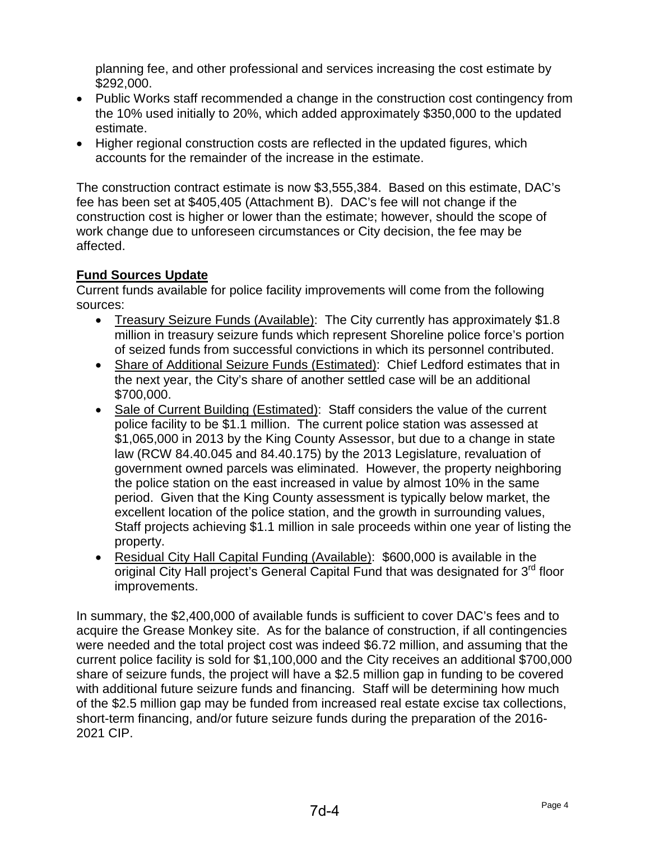planning fee, and other professional and services increasing the cost estimate by \$292,000.

- Public Works staff recommended a change in the construction cost contingency from the 10% used initially to 20%, which added approximately \$350,000 to the updated estimate.
- Higher regional construction costs are reflected in the updated figures, which accounts for the remainder of the increase in the estimate.

The construction contract estimate is now \$3,555,384. Based on this estimate, DAC's fee has been set at \$405,405 (Attachment B). DAC's fee will not change if the construction cost is higher or lower than the estimate; however, should the scope of work change due to unforeseen circumstances or City decision, the fee may be affected.

## **Fund Sources Update**

Current funds available for police facility improvements will come from the following sources:

- Treasury Seizure Funds (Available): The City currently has approximately \$1.8 million in treasury seizure funds which represent Shoreline police force's portion of seized funds from successful convictions in which its personnel contributed.
- Share of Additional Seizure Funds (Estimated): Chief Ledford estimates that in the next year, the City's share of another settled case will be an additional \$700,000.
- Sale of Current Building (Estimated): Staff considers the value of the current police facility to be \$1.1 million. The current police station was assessed at \$1,065,000 in 2013 by the King County Assessor, but due to a change in state law (RCW 84.40.045 and 84.40.175) by the 2013 Legislature, revaluation of government owned parcels was eliminated. However, the property neighboring the police station on the east increased in value by almost 10% in the same period. Given that the King County assessment is typically below market, the excellent location of the police station, and the growth in surrounding values, Staff projects achieving \$1.1 million in sale proceeds within one year of listing the property.
- Residual City Hall Capital Funding (Available): \$600,000 is available in the original City Hall project's General Capital Fund that was designated for 3<sup>rd</sup> floor improvements.

In summary, the \$2,400,000 of available funds is sufficient to cover DAC's fees and to acquire the Grease Monkey site. As for the balance of construction, if all contingencies were needed and the total project cost was indeed \$6.72 million, and assuming that the current police facility is sold for \$1,100,000 and the City receives an additional \$700,000 share of seizure funds, the project will have a \$2.5 million gap in funding to be covered with additional future seizure funds and financing. Staff will be determining how much of the \$2.5 million gap may be funded from increased real estate excise tax collections, short-term financing, and/or future seizure funds during the preparation of the 2016- 2021 CIP.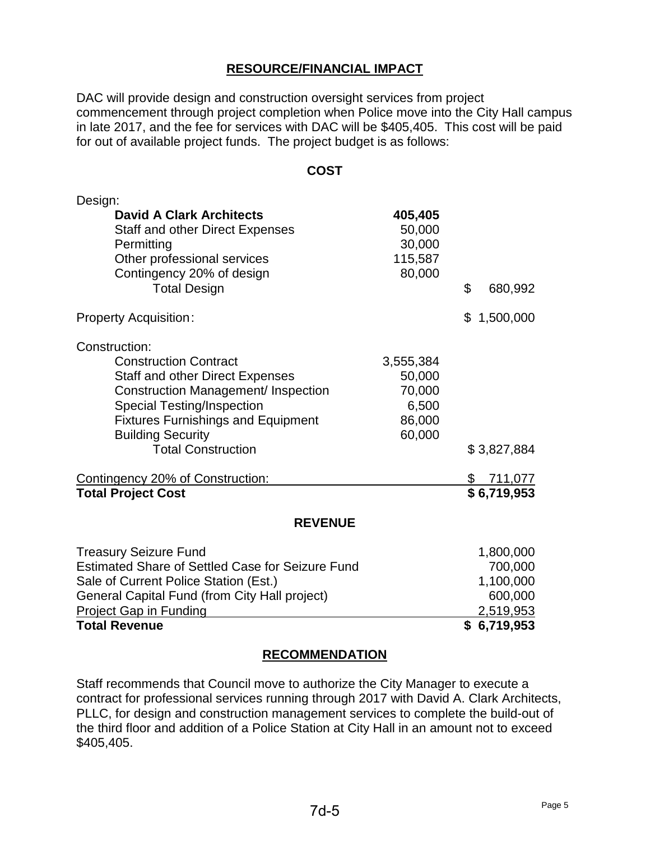### **RESOURCE/FINANCIAL IMPACT**

DAC will provide design and construction oversight services from project commencement through project completion when Police move into the City Hall campus in late 2017, and the fee for services with DAC will be \$405,405. This cost will be paid for out of available project funds. The project budget is as follows:

### **COST**

| Design:                                                                                                                                                                                                                                                                                                                                           |                                                                          |                                                    |
|---------------------------------------------------------------------------------------------------------------------------------------------------------------------------------------------------------------------------------------------------------------------------------------------------------------------------------------------------|--------------------------------------------------------------------------|----------------------------------------------------|
| <b>David A Clark Architects</b><br><b>Staff and other Direct Expenses</b><br>Permitting<br>Other professional services<br>Contingency 20% of design<br><b>Total Design</b>                                                                                                                                                                        | 405,405<br>50,000<br>30,000<br>115,587<br>80,000                         | \$<br>680,992                                      |
| <b>Property Acquisition:</b>                                                                                                                                                                                                                                                                                                                      |                                                                          | 1,500,000<br>\$                                    |
| Construction:<br><b>Construction Contract</b><br><b>Staff and other Direct Expenses</b><br><b>Construction Management/ Inspection</b><br><b>Special Testing/Inspection</b><br><b>Fixtures Furnishings and Equipment</b><br><b>Building Security</b><br><b>Total Construction</b><br>Contingency 20% of Construction:<br><b>Total Project Cost</b> | 3,555,384<br>50,000<br>70,000<br>6,500<br>86,000<br>60,000               | \$3,827,884<br><u>711,077</u><br>\$<br>\$6,719,953 |
|                                                                                                                                                                                                                                                                                                                                                   |                                                                          |                                                    |
| <b>REVENUE</b>                                                                                                                                                                                                                                                                                                                                    |                                                                          |                                                    |
| <b>Treasury Seizure Fund</b><br><b>Estimated Share of Settled Case for Seizure Fund</b><br>Sale of Current Police Station (Est.)<br>General Capital Fund (from City Hall project)<br><b>Project Gap in Funding</b><br><b>Total Revenue</b>                                                                                                        | 1,800,000<br>700,000<br>1,100,000<br>600,000<br>2,519,953<br>\$6,719,953 |                                                    |

### **RECOMMENDATION**

Staff recommends that Council move to authorize the City Manager to execute a contract for professional services running through 2017 with David A. Clark Architects, PLLC, for design and construction management services to complete the build-out of the third floor and addition of a Police Station at City Hall in an amount not to exceed \$405,405.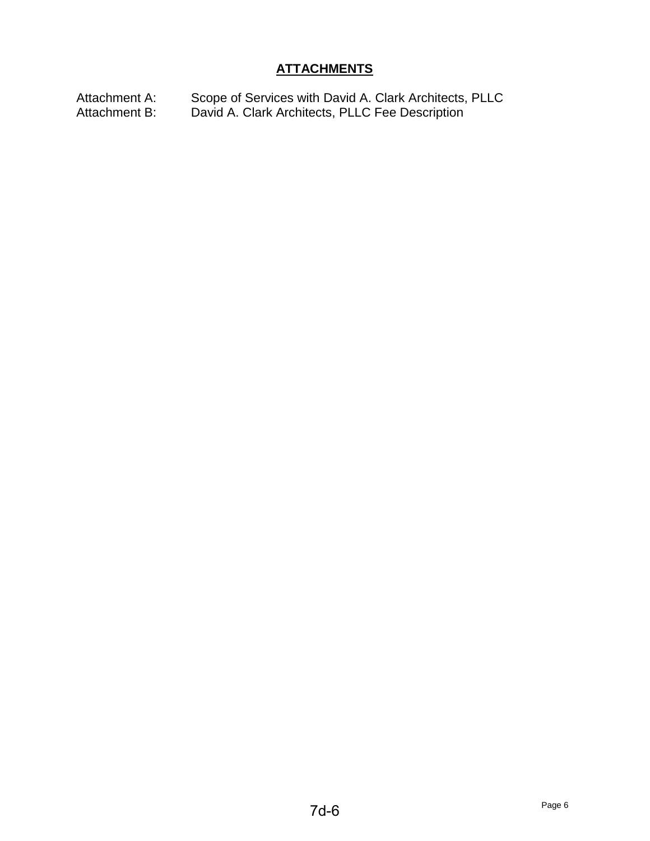## **ATTACHMENTS**

Attachment A: Scope of Services with David A. Clark Architects, PLLC Attachment B: David A. Clark Architects, PLLC Fee Description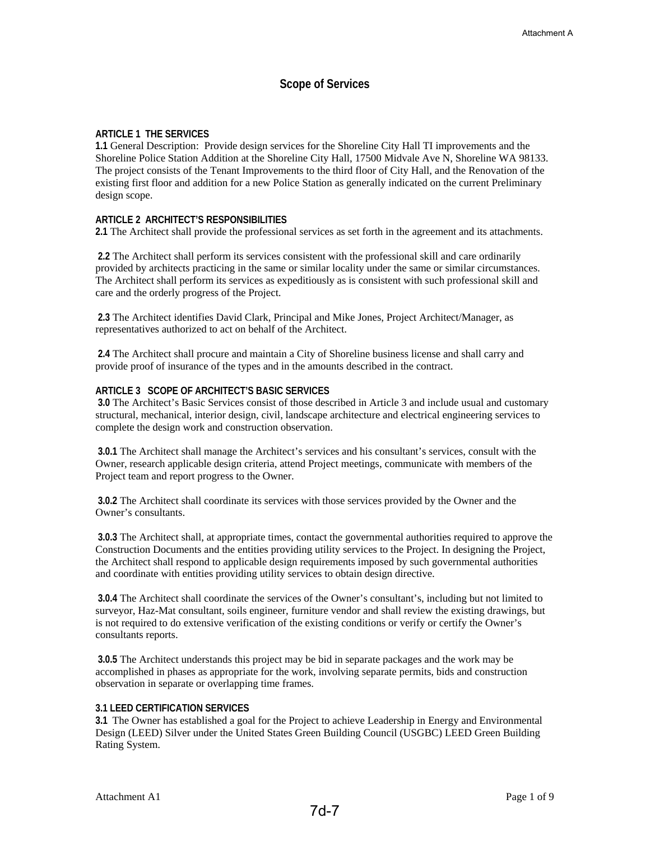### **Scope of Services**

#### **ARTICLE 1 THE SERVICES**

**1.1** General Description: Provide design services for the Shoreline City Hall TI improvements and the Shoreline Police Station Addition at the Shoreline City Hall, 17500 Midvale Ave N, Shoreline WA 98133. The project consists of the Tenant Improvements to the third floor of City Hall, and the Renovation of the existing first floor and addition for a new Police Station as generally indicated on the current Preliminary design scope.

#### **ARTICLE 2 ARCHITECT'S RESPONSIBILITIES**

**2.1** The Architect shall provide the professional services as set forth in the agreement and its attachments.

 **2.2** The Architect shall perform its services consistent with the professional skill and care ordinarily provided by architects practicing in the same or similar locality under the same or similar circumstances. The Architect shall perform its services as expeditiously as is consistent with such professional skill and care and the orderly progress of the Project.

 **2.3** The Architect identifies David Clark, Principal and Mike Jones, Project Architect/Manager, as representatives authorized to act on behalf of the Architect.

 **2.4** The Architect shall procure and maintain a City of Shoreline business license and shall carry and provide proof of insurance of the types and in the amounts described in the contract.

#### **ARTICLE 3 SCOPE OF ARCHITECT'S BASIC SERVICES**

 **3.0** The Architect's Basic Services consist of those described in Article 3 and include usual and customary structural, mechanical, interior design, civil, landscape architecture and electrical engineering services to complete the design work and construction observation.

 **3.0.1** The Architect shall manage the Architect's services and his consultant's services, consult with the Owner, research applicable design criteria, attend Project meetings, communicate with members of the Project team and report progress to the Owner.

 **3.0.2** The Architect shall coordinate its services with those services provided by the Owner and the Owner's consultants.

 **3.0.3** The Architect shall, at appropriate times, contact the governmental authorities required to approve the Construction Documents and the entities providing utility services to the Project. In designing the Project, the Architect shall respond to applicable design requirements imposed by such governmental authorities and coordinate with entities providing utility services to obtain design directive.

 **3.0.4** The Architect shall coordinate the services of the Owner's consultant's, including but not limited to surveyor, Haz-Mat consultant, soils engineer, furniture vendor and shall review the existing drawings, but is not required to do extensive verification of the existing conditions or verify or certify the Owner's consultants reports.

 **3.0.5** The Architect understands this project may be bid in separate packages and the work may be accomplished in phases as appropriate for the work, involving separate permits, bids and construction observation in separate or overlapping time frames.

#### **3.1 LEED CERTIFICATION SERVICES**

**3.1** The Owner has established a goal for the Project to achieve Leadership in Energy and Environmental Design (LEED) Silver under the United States Green Building Council (USGBC) LEED Green Building Rating System.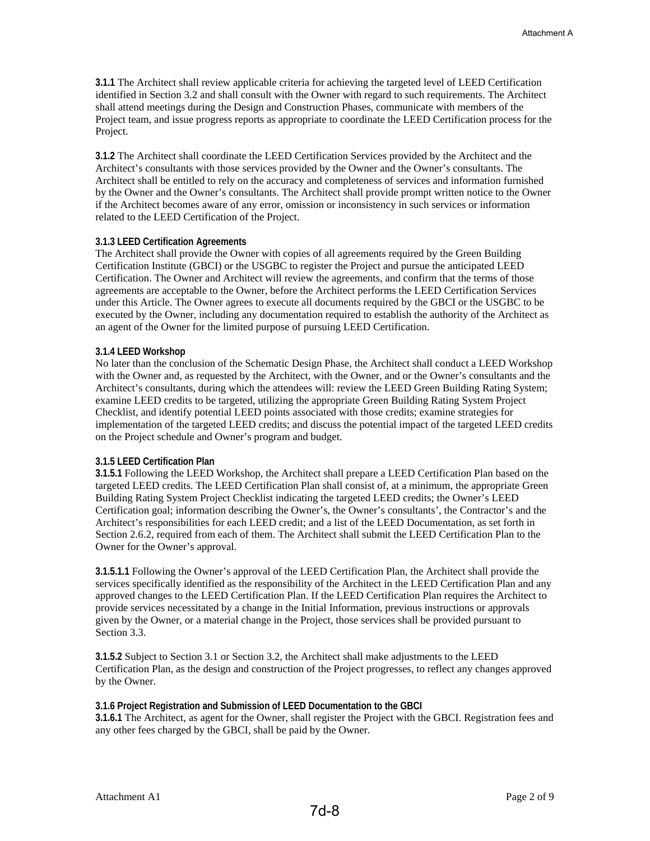**3.1.1** The Architect shall review applicable criteria for achieving the targeted level of LEED Certification identified in Section 3.2 and shall consult with the Owner with regard to such requirements. The Architect shall attend meetings during the Design and Construction Phases, communicate with members of the Project team, and issue progress reports as appropriate to coordinate the LEED Certification process for the Project.

**3.1.2** The Architect shall coordinate the LEED Certification Services provided by the Architect and the Architect's consultants with those services provided by the Owner and the Owner's consultants. The Architect shall be entitled to rely on the accuracy and completeness of services and information furnished by the Owner and the Owner's consultants. The Architect shall provide prompt written notice to the Owner if the Architect becomes aware of any error, omission or inconsistency in such services or information related to the LEED Certification of the Project.

#### **3.1.3 LEED Certification Agreements**

The Architect shall provide the Owner with copies of all agreements required by the Green Building Certification Institute (GBCI) or the USGBC to register the Project and pursue the anticipated LEED Certification. The Owner and Architect will review the agreements, and confirm that the terms of those agreements are acceptable to the Owner, before the Architect performs the LEED Certification Services under this Article. The Owner agrees to execute all documents required by the GBCI or the USGBC to be executed by the Owner, including any documentation required to establish the authority of the Architect as an agent of the Owner for the limited purpose of pursuing LEED Certification.

#### **3.1.4 LEED Workshop**

No later than the conclusion of the Schematic Design Phase, the Architect shall conduct a LEED Workshop with the Owner and, as requested by the Architect, with the Owner, and or the Owner's consultants and the Architect's consultants, during which the attendees will: review the LEED Green Building Rating System; examine LEED credits to be targeted, utilizing the appropriate Green Building Rating System Project Checklist, and identify potential LEED points associated with those credits; examine strategies for implementation of the targeted LEED credits; and discuss the potential impact of the targeted LEED credits on the Project schedule and Owner's program and budget.

#### **3.1.5 LEED Certification Plan**

**3.1.5.1** Following the LEED Workshop, the Architect shall prepare a LEED Certification Plan based on the targeted LEED credits. The LEED Certification Plan shall consist of, at a minimum, the appropriate Green Building Rating System Project Checklist indicating the targeted LEED credits; the Owner's LEED Certification goal; information describing the Owner's, the Owner's consultants', the Contractor's and the Architect's responsibilities for each LEED credit; and a list of the LEED Documentation, as set forth in Section 2.6.2, required from each of them. The Architect shall submit the LEED Certification Plan to the Owner for the Owner's approval.

**3.1.5.1.1** Following the Owner's approval of the LEED Certification Plan, the Architect shall provide the services specifically identified as the responsibility of the Architect in the LEED Certification Plan and any approved changes to the LEED Certification Plan. If the LEED Certification Plan requires the Architect to provide services necessitated by a change in the Initial Information, previous instructions or approvals given by the Owner, or a material change in the Project, those services shall be provided pursuant to Section 3.3.

**3.1.5.2** Subject to Section 3.1 or Section 3.2, the Architect shall make adjustments to the LEED Certification Plan, as the design and construction of the Project progresses, to reflect any changes approved by the Owner.

#### **3.1.6 Project Registration and Submission of LEED Documentation to the GBCI**

**3.1.6.1** The Architect, as agent for the Owner, shall register the Project with the GBCI. Registration fees and any other fees charged by the GBCI, shall be paid by the Owner.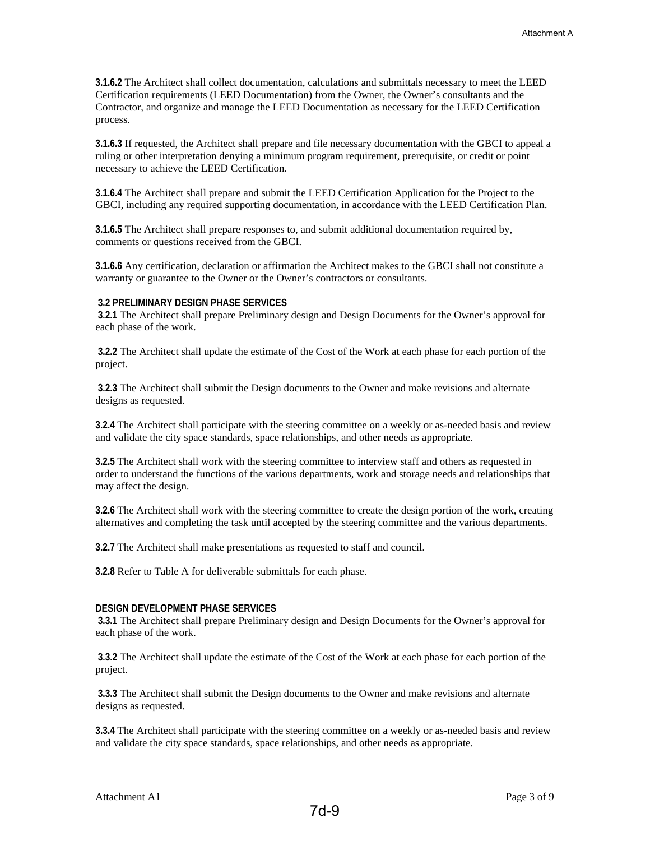**3.1.6.2** The Architect shall collect documentation, calculations and submittals necessary to meet the LEED Certification requirements (LEED Documentation) from the Owner, the Owner's consultants and the Contractor, and organize and manage the LEED Documentation as necessary for the LEED Certification process.

**3.1.6.3** If requested, the Architect shall prepare and file necessary documentation with the GBCI to appeal a ruling or other interpretation denying a minimum program requirement, prerequisite, or credit or point necessary to achieve the LEED Certification.

**3.1.6.4** The Architect shall prepare and submit the LEED Certification Application for the Project to the GBCI, including any required supporting documentation, in accordance with the LEED Certification Plan.

**3.1.6.5** The Architect shall prepare responses to, and submit additional documentation required by, comments or questions received from the GBCI.

**3.1.6.6** Any certification, declaration or affirmation the Architect makes to the GBCI shall not constitute a warranty or guarantee to the Owner or the Owner's contractors or consultants.

#### **3.2 PRELIMINARY DESIGN PHASE SERVICES**

 **3.2.1** The Architect shall prepare Preliminary design and Design Documents for the Owner's approval for each phase of the work.

 **3.2.2** The Architect shall update the estimate of the Cost of the Work at each phase for each portion of the project.

 **3.2.3** The Architect shall submit the Design documents to the Owner and make revisions and alternate designs as requested.

**3.2.4** The Architect shall participate with the steering committee on a weekly or as-needed basis and review and validate the city space standards, space relationships, and other needs as appropriate.

**3.2.5** The Architect shall work with the steering committee to interview staff and others as requested in order to understand the functions of the various departments, work and storage needs and relationships that may affect the design.

**3.2.6** The Architect shall work with the steering committee to create the design portion of the work, creating alternatives and completing the task until accepted by the steering committee and the various departments.

**3.2.7** The Architect shall make presentations as requested to staff and council.

**3.2.8** Refer to Table A for deliverable submittals for each phase.

#### **DESIGN DEVELOPMENT PHASE SERVICES**

 **3.3.1** The Architect shall prepare Preliminary design and Design Documents for the Owner's approval for each phase of the work.

 **3.3.2** The Architect shall update the estimate of the Cost of the Work at each phase for each portion of the project.

 **3.3.3** The Architect shall submit the Design documents to the Owner and make revisions and alternate designs as requested.

**3.3.4** The Architect shall participate with the steering committee on a weekly or as-needed basis and review and validate the city space standards, space relationships, and other needs as appropriate.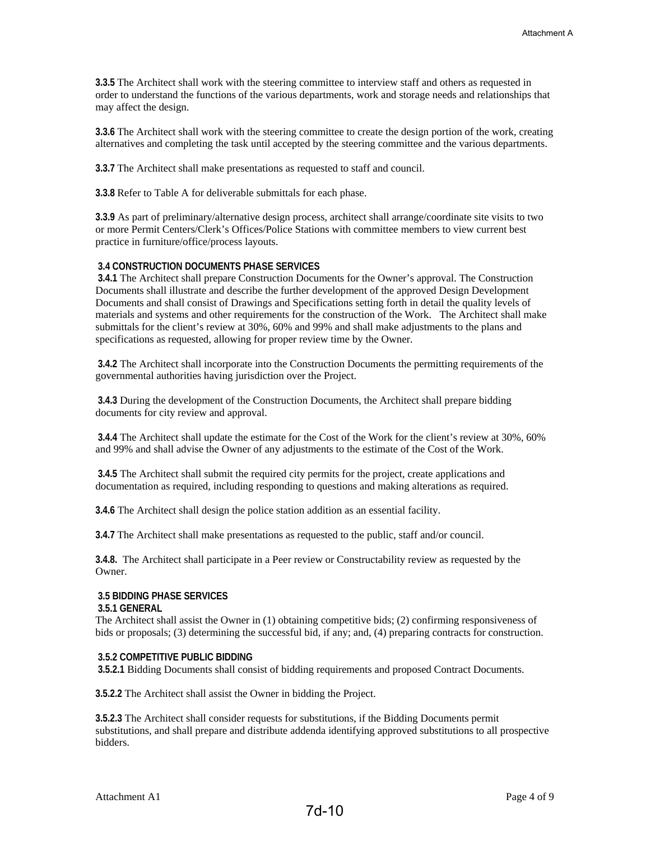**3.3.5** The Architect shall work with the steering committee to interview staff and others as requested in order to understand the functions of the various departments, work and storage needs and relationships that may affect the design.

**3.3.6** The Architect shall work with the steering committee to create the design portion of the work, creating alternatives and completing the task until accepted by the steering committee and the various departments.

**3.3.7** The Architect shall make presentations as requested to staff and council.

**3.3.8** Refer to Table A for deliverable submittals for each phase.

**3.3.9** As part of preliminary/alternative design process, architect shall arrange/coordinate site visits to two or more Permit Centers/Clerk's Offices/Police Stations with committee members to view current best practice in furniture/office/process layouts.

#### **3.4 CONSTRUCTION DOCUMENTS PHASE SERVICES**

 **3.4.1** The Architect shall prepare Construction Documents for the Owner's approval. The Construction Documents shall illustrate and describe the further development of the approved Design Development Documents and shall consist of Drawings and Specifications setting forth in detail the quality levels of materials and systems and other requirements for the construction of the Work. The Architect shall make submittals for the client's review at 30%, 60% and 99% and shall make adjustments to the plans and specifications as requested, allowing for proper review time by the Owner.

 **3.4.2** The Architect shall incorporate into the Construction Documents the permitting requirements of the governmental authorities having jurisdiction over the Project.

 **3.4.3** During the development of the Construction Documents, the Architect shall prepare bidding documents for city review and approval.

 **3.4.4** The Architect shall update the estimate for the Cost of the Work for the client's review at 30%, 60% and 99% and shall advise the Owner of any adjustments to the estimate of the Cost of the Work.

 **3.4.5** The Architect shall submit the required city permits for the project, create applications and documentation as required, including responding to questions and making alterations as required.

**3.4.6** The Architect shall design the police station addition as an essential facility.

**3.4.7** The Architect shall make presentations as requested to the public, staff and/or council.

**3.4.8.** The Architect shall participate in a Peer review or Constructability review as requested by the Owner.

### **3.5 BIDDING PHASE SERVICES**

#### **3.5.1 GENERAL**

The Architect shall assist the Owner in (1) obtaining competitive bids; (2) confirming responsiveness of bids or proposals; (3) determining the successful bid, if any; and, (4) preparing contracts for construction.

#### **3.5.2 COMPETITIVE PUBLIC BIDDING**

 **3.5.2.1** Bidding Documents shall consist of bidding requirements and proposed Contract Documents.

**3.5.2.2** The Architect shall assist the Owner in bidding the Project.

**3.5.2.3** The Architect shall consider requests for substitutions, if the Bidding Documents permit substitutions, and shall prepare and distribute addenda identifying approved substitutions to all prospective bidders.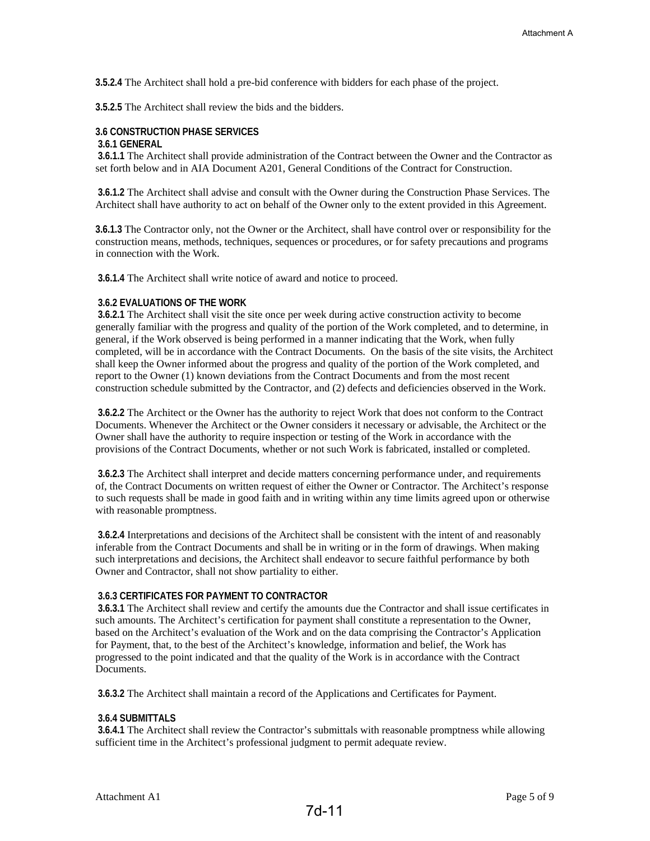**3.5.2.4** The Architect shall hold a pre-bid conference with bidders for each phase of the project.

**3.5.2.5** The Architect shall review the bids and the bidders.

#### **3.6 CONSTRUCTION PHASE SERVICES**

#### **3.6.1 GENERAL**

 **3.6.1.1** The Architect shall provide administration of the Contract between the Owner and the Contractor as set forth below and in AIA Document A201, General Conditions of the Contract for Construction.

 **3.6.1.2** The Architect shall advise and consult with the Owner during the Construction Phase Services. The Architect shall have authority to act on behalf of the Owner only to the extent provided in this Agreement.

**3.6.1.3** The Contractor only, not the Owner or the Architect, shall have control over or responsibility for the construction means, methods, techniques, sequences or procedures, or for safety precautions and programs in connection with the Work.

 **3.6.1.4** The Architect shall write notice of award and notice to proceed.

#### **3.6.2 EVALUATIONS OF THE WORK**

 **3.6.2.1** The Architect shall visit the site once per week during active construction activity to become generally familiar with the progress and quality of the portion of the Work completed, and to determine, in general, if the Work observed is being performed in a manner indicating that the Work, when fully completed, will be in accordance with the Contract Documents. On the basis of the site visits, the Architect shall keep the Owner informed about the progress and quality of the portion of the Work completed, and report to the Owner (1) known deviations from the Contract Documents and from the most recent construction schedule submitted by the Contractor, and (2) defects and deficiencies observed in the Work.

 **3.6.2.2** The Architect or the Owner has the authority to reject Work that does not conform to the Contract Documents. Whenever the Architect or the Owner considers it necessary or advisable, the Architect or the Owner shall have the authority to require inspection or testing of the Work in accordance with the provisions of the Contract Documents, whether or not such Work is fabricated, installed or completed.

 **3.6.2.3** The Architect shall interpret and decide matters concerning performance under, and requirements of, the Contract Documents on written request of either the Owner or Contractor. The Architect's response to such requests shall be made in good faith and in writing within any time limits agreed upon or otherwise with reasonable promptness.

 **3.6.2.4** Interpretations and decisions of the Architect shall be consistent with the intent of and reasonably inferable from the Contract Documents and shall be in writing or in the form of drawings. When making such interpretations and decisions, the Architect shall endeavor to secure faithful performance by both Owner and Contractor, shall not show partiality to either.

#### **3.6.3 CERTIFICATES FOR PAYMENT TO CONTRACTOR**

 **3.6.3.1** The Architect shall review and certify the amounts due the Contractor and shall issue certificates in such amounts. The Architect's certification for payment shall constitute a representation to the Owner, based on the Architect's evaluation of the Work and on the data comprising the Contractor's Application for Payment, that, to the best of the Architect's knowledge, information and belief, the Work has progressed to the point indicated and that the quality of the Work is in accordance with the Contract Documents.

 **3.6.3.2** The Architect shall maintain a record of the Applications and Certificates for Payment.

#### **3.6.4 SUBMITTALS**

 **3.6.4.1** The Architect shall review the Contractor's submittals with reasonable promptness while allowing sufficient time in the Architect's professional judgment to permit adequate review.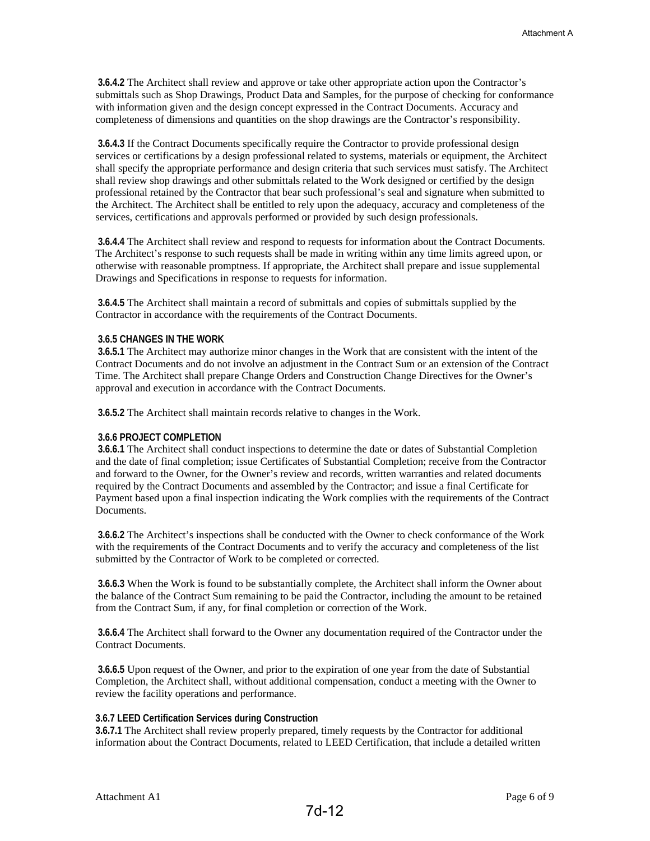**3.6.4.2** The Architect shall review and approve or take other appropriate action upon the Contractor's submittals such as Shop Drawings, Product Data and Samples, for the purpose of checking for conformance with information given and the design concept expressed in the Contract Documents. Accuracy and completeness of dimensions and quantities on the shop drawings are the Contractor's responsibility.

 **3.6.4.3** If the Contract Documents specifically require the Contractor to provide professional design services or certifications by a design professional related to systems, materials or equipment, the Architect shall specify the appropriate performance and design criteria that such services must satisfy. The Architect shall review shop drawings and other submittals related to the Work designed or certified by the design professional retained by the Contractor that bear such professional's seal and signature when submitted to the Architect. The Architect shall be entitled to rely upon the adequacy, accuracy and completeness of the services, certifications and approvals performed or provided by such design professionals.

 **3.6.4.4** The Architect shall review and respond to requests for information about the Contract Documents. The Architect's response to such requests shall be made in writing within any time limits agreed upon, or otherwise with reasonable promptness. If appropriate, the Architect shall prepare and issue supplemental Drawings and Specifications in response to requests for information.

 **3.6.4.5** The Architect shall maintain a record of submittals and copies of submittals supplied by the Contractor in accordance with the requirements of the Contract Documents.

#### **3.6.5 CHANGES IN THE WORK**

 **3.6.5.1** The Architect may authorize minor changes in the Work that are consistent with the intent of the Contract Documents and do not involve an adjustment in the Contract Sum or an extension of the Contract Time. The Architect shall prepare Change Orders and Construction Change Directives for the Owner's approval and execution in accordance with the Contract Documents.

 **3.6.5.2** The Architect shall maintain records relative to changes in the Work.

#### **3.6.6 PROJECT COMPLETION**

 **3.6.6.1** The Architect shall conduct inspections to determine the date or dates of Substantial Completion and the date of final completion; issue Certificates of Substantial Completion; receive from the Contractor and forward to the Owner, for the Owner's review and records, written warranties and related documents required by the Contract Documents and assembled by the Contractor; and issue a final Certificate for Payment based upon a final inspection indicating the Work complies with the requirements of the Contract Documents.

 **3.6.6.2** The Architect's inspections shall be conducted with the Owner to check conformance of the Work with the requirements of the Contract Documents and to verify the accuracy and completeness of the list submitted by the Contractor of Work to be completed or corrected.

 **3.6.6.3** When the Work is found to be substantially complete, the Architect shall inform the Owner about the balance of the Contract Sum remaining to be paid the Contractor, including the amount to be retained from the Contract Sum, if any, for final completion or correction of the Work.

 **3.6.6.4** The Architect shall forward to the Owner any documentation required of the Contractor under the Contract Documents.

 **3.6.6.5** Upon request of the Owner, and prior to the expiration of one year from the date of Substantial Completion, the Architect shall, without additional compensation, conduct a meeting with the Owner to review the facility operations and performance.

#### **3.6.7 LEED Certification Services during Construction**

**3.6.7.1** The Architect shall review properly prepared, timely requests by the Contractor for additional information about the Contract Documents, related to LEED Certification, that include a detailed written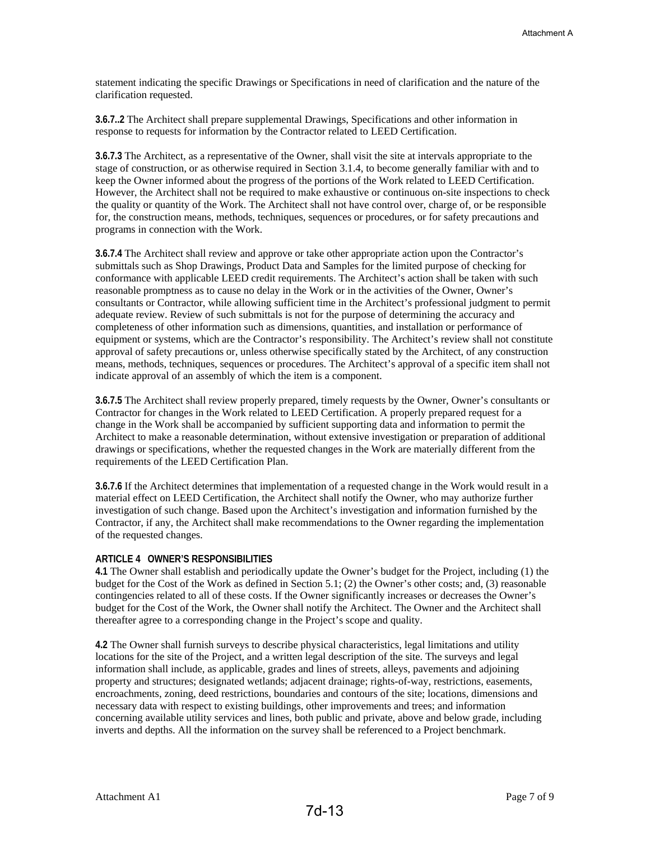statement indicating the specific Drawings or Specifications in need of clarification and the nature of the clarification requested.

**3.6.7..2** The Architect shall prepare supplemental Drawings, Specifications and other information in response to requests for information by the Contractor related to LEED Certification.

**3.6.7.3** The Architect, as a representative of the Owner, shall visit the site at intervals appropriate to the stage of construction, or as otherwise required in Section 3.1.4, to become generally familiar with and to keep the Owner informed about the progress of the portions of the Work related to LEED Certification. However, the Architect shall not be required to make exhaustive or continuous on-site inspections to check the quality or quantity of the Work. The Architect shall not have control over, charge of, or be responsible for, the construction means, methods, techniques, sequences or procedures, or for safety precautions and programs in connection with the Work.

**3.6.7.4** The Architect shall review and approve or take other appropriate action upon the Contractor's submittals such as Shop Drawings, Product Data and Samples for the limited purpose of checking for conformance with applicable LEED credit requirements. The Architect's action shall be taken with such reasonable promptness as to cause no delay in the Work or in the activities of the Owner, Owner's consultants or Contractor, while allowing sufficient time in the Architect's professional judgment to permit adequate review. Review of such submittals is not for the purpose of determining the accuracy and completeness of other information such as dimensions, quantities, and installation or performance of equipment or systems, which are the Contractor's responsibility. The Architect's review shall not constitute approval of safety precautions or, unless otherwise specifically stated by the Architect, of any construction means, methods, techniques, sequences or procedures. The Architect's approval of a specific item shall not indicate approval of an assembly of which the item is a component.

**3.6.7.5** The Architect shall review properly prepared, timely requests by the Owner, Owner's consultants or Contractor for changes in the Work related to LEED Certification. A properly prepared request for a change in the Work shall be accompanied by sufficient supporting data and information to permit the Architect to make a reasonable determination, without extensive investigation or preparation of additional drawings or specifications, whether the requested changes in the Work are materially different from the requirements of the LEED Certification Plan.

**3.6.7.6** If the Architect determines that implementation of a requested change in the Work would result in a material effect on LEED Certification, the Architect shall notify the Owner, who may authorize further investigation of such change. Based upon the Architect's investigation and information furnished by the Contractor, if any, the Architect shall make recommendations to the Owner regarding the implementation of the requested changes.

#### **ARTICLE 4 OWNER'S RESPONSIBILITIES**

**4.1** The Owner shall establish and periodically update the Owner's budget for the Project, including (1) the budget for the Cost of the Work as defined in Section 5.1; (2) the Owner's other costs; and, (3) reasonable contingencies related to all of these costs. If the Owner significantly increases or decreases the Owner's budget for the Cost of the Work, the Owner shall notify the Architect. The Owner and the Architect shall thereafter agree to a corresponding change in the Project's scope and quality.

**4.2** The Owner shall furnish surveys to describe physical characteristics, legal limitations and utility locations for the site of the Project, and a written legal description of the site. The surveys and legal information shall include, as applicable, grades and lines of streets, alleys, pavements and adjoining property and structures; designated wetlands; adjacent drainage; rights-of-way, restrictions, easements, encroachments, zoning, deed restrictions, boundaries and contours of the site; locations, dimensions and necessary data with respect to existing buildings, other improvements and trees; and information concerning available utility services and lines, both public and private, above and below grade, including inverts and depths. All the information on the survey shall be referenced to a Project benchmark.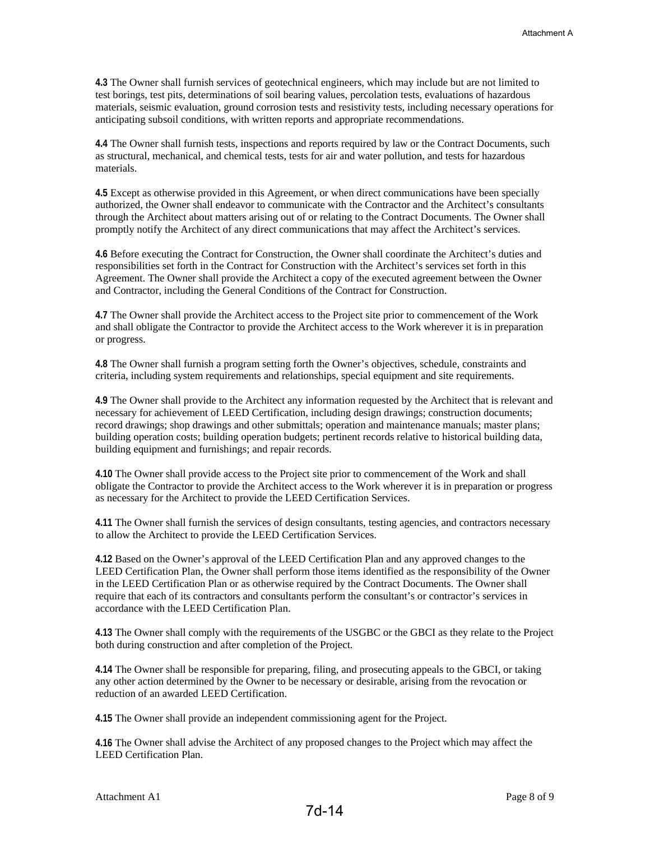**4.3** The Owner shall furnish services of geotechnical engineers, which may include but are not limited to test borings, test pits, determinations of soil bearing values, percolation tests, evaluations of hazardous materials, seismic evaluation, ground corrosion tests and resistivity tests, including necessary operations for anticipating subsoil conditions, with written reports and appropriate recommendations.

**4.4** The Owner shall furnish tests, inspections and reports required by law or the Contract Documents, such as structural, mechanical, and chemical tests, tests for air and water pollution, and tests for hazardous materials.

**4.5** Except as otherwise provided in this Agreement, or when direct communications have been specially authorized, the Owner shall endeavor to communicate with the Contractor and the Architect's consultants through the Architect about matters arising out of or relating to the Contract Documents. The Owner shall promptly notify the Architect of any direct communications that may affect the Architect's services.

**4.6** Before executing the Contract for Construction, the Owner shall coordinate the Architect's duties and responsibilities set forth in the Contract for Construction with the Architect's services set forth in this Agreement. The Owner shall provide the Architect a copy of the executed agreement between the Owner and Contractor, including the General Conditions of the Contract for Construction.

**4.7** The Owner shall provide the Architect access to the Project site prior to commencement of the Work and shall obligate the Contractor to provide the Architect access to the Work wherever it is in preparation or progress.

**4.8** The Owner shall furnish a program setting forth the Owner's objectives, schedule, constraints and criteria, including system requirements and relationships, special equipment and site requirements.

**4.9** The Owner shall provide to the Architect any information requested by the Architect that is relevant and necessary for achievement of LEED Certification, including design drawings; construction documents; record drawings; shop drawings and other submittals; operation and maintenance manuals; master plans; building operation costs; building operation budgets; pertinent records relative to historical building data, building equipment and furnishings; and repair records.

**4.10** The Owner shall provide access to the Project site prior to commencement of the Work and shall obligate the Contractor to provide the Architect access to the Work wherever it is in preparation or progress as necessary for the Architect to provide the LEED Certification Services.

**4.11** The Owner shall furnish the services of design consultants, testing agencies, and contractors necessary to allow the Architect to provide the LEED Certification Services.

**4.12** Based on the Owner's approval of the LEED Certification Plan and any approved changes to the LEED Certification Plan, the Owner shall perform those items identified as the responsibility of the Owner in the LEED Certification Plan or as otherwise required by the Contract Documents. The Owner shall require that each of its contractors and consultants perform the consultant's or contractor's services in accordance with the LEED Certification Plan.

**4.13** The Owner shall comply with the requirements of the USGBC or the GBCI as they relate to the Project both during construction and after completion of the Project.

**4.14** The Owner shall be responsible for preparing, filing, and prosecuting appeals to the GBCI, or taking any other action determined by the Owner to be necessary or desirable, arising from the revocation or reduction of an awarded LEED Certification.

**4.15** The Owner shall provide an independent commissioning agent for the Project.

**4.16** The Owner shall advise the Architect of any proposed changes to the Project which may affect the LEED Certification Plan.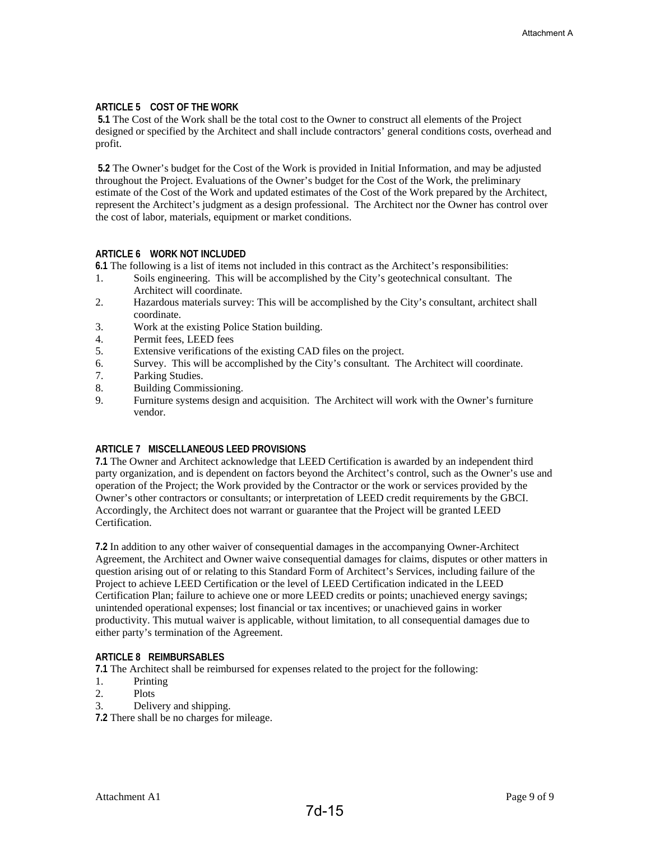#### **ARTICLE 5 COST OF THE WORK**

 **5.1** The Cost of the Work shall be the total cost to the Owner to construct all elements of the Project designed or specified by the Architect and shall include contractors' general conditions costs, overhead and profit.

 **5.2** The Owner's budget for the Cost of the Work is provided in Initial Information, and may be adjusted throughout the Project. Evaluations of the Owner's budget for the Cost of the Work, the preliminary estimate of the Cost of the Work and updated estimates of the Cost of the Work prepared by the Architect, represent the Architect's judgment as a design professional. The Architect nor the Owner has control over the cost of labor, materials, equipment or market conditions.

#### **ARTICLE 6 WORK NOT INCLUDED**

**6.1** The following is a list of items not included in this contract as the Architect's responsibilities:

- 1. Soils engineering. This will be accomplished by the City's geotechnical consultant. The Architect will coordinate.
- 2. Hazardous materials survey: This will be accomplished by the City's consultant, architect shall coordinate.
- 3. Work at the existing Police Station building.
- 4. Permit fees, LEED fees
- 5. Extensive verifications of the existing CAD files on the project.
- 6. Survey. This will be accomplished by the City's consultant. The Architect will coordinate.
- Parking Studies.
- 8. Building Commissioning.
- 9. Furniture systems design and acquisition. The Architect will work with the Owner's furniture vendor.

#### **ARTICLE 7 MISCELLANEOUS LEED PROVISIONS**

**7.1** The Owner and Architect acknowledge that LEED Certification is awarded by an independent third party organization, and is dependent on factors beyond the Architect's control, such as the Owner's use and operation of the Project; the Work provided by the Contractor or the work or services provided by the Owner's other contractors or consultants; or interpretation of LEED credit requirements by the GBCI. Accordingly, the Architect does not warrant or guarantee that the Project will be granted LEED Certification.

**7.2** In addition to any other waiver of consequential damages in the accompanying Owner-Architect Agreement, the Architect and Owner waive consequential damages for claims, disputes or other matters in question arising out of or relating to this Standard Form of Architect's Services, including failure of the Project to achieve LEED Certification or the level of LEED Certification indicated in the LEED Certification Plan; failure to achieve one or more LEED credits or points; unachieved energy savings; unintended operational expenses; lost financial or tax incentives; or unachieved gains in worker productivity. This mutual waiver is applicable, without limitation, to all consequential damages due to either party's termination of the Agreement.

#### **ARTICLE 8 REIMBURSABLES**

**7.1** The Architect shall be reimbursed for expenses related to the project for the following:

- 1. Printing
- 2. Plots
- 3. Delivery and shipping.

**7.2** There shall be no charges for mileage.